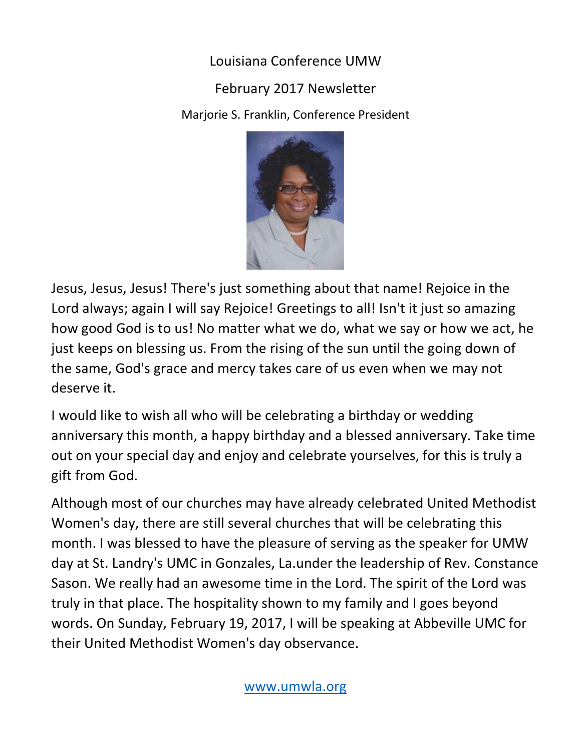## Louisiana Conference UMW

## February 2017 Newsletter

Marjorie S. Franklin, Conference President



Jesus, Jesus, Jesus! There's just something about that name! Rejoice in the Lord always; again I will say Rejoice! Greetings to all! Isn't it just so amazing how good God is to us! No matter what we do, what we say or how we act, he just keeps on blessing us. From the rising of the sun until the going down of the same, God's grace and mercy takes care of us even when we may not deserve it.

I would like to wish all who will be celebrating a birthday or wedding anniversary this month, a happy birthday and a blessed anniversary. Take time out on your special day and enjoy and celebrate yourselves, for this is truly a gift from God.

Although most of our churches may have already celebrated United Methodist Women's day, there are still several churches that will be celebrating this month. I was blessed to have the pleasure of serving as the speaker for UMW day at St. Landry's UMC in Gonzales, La.under the leadership of Rev. Constance Sason. We really had an awesome time in the Lord. The spirit of the Lord was truly in that place. The hospitality shown to my family and I goes beyond words. On Sunday, February 19, 2017, I will be speaking at Abbeville UMC for their United Methodist Women's day observance.